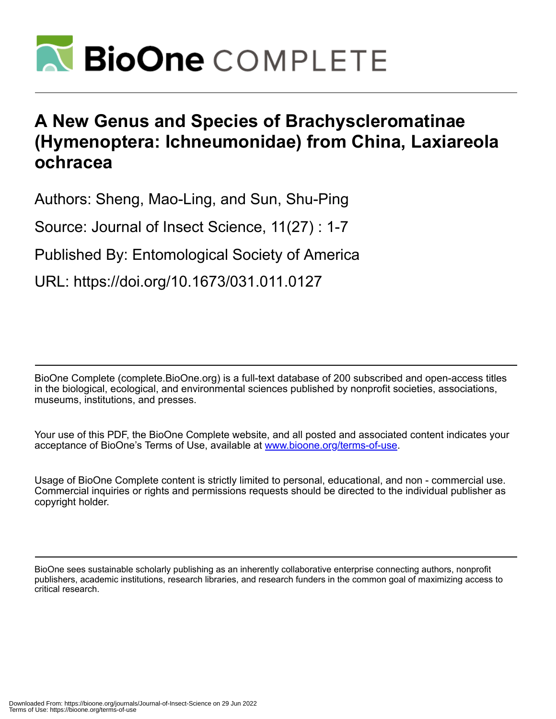

# **A New Genus and Species of Brachyscleromatinae (Hymenoptera: Ichneumonidae) from China, Laxiareola ochracea**

Authors: Sheng, Mao-Ling, and Sun, Shu-Ping

Source: Journal of Insect Science, 11(27) : 1-7

Published By: Entomological Society of America

URL: https://doi.org/10.1673/031.011.0127

BioOne Complete (complete.BioOne.org) is a full-text database of 200 subscribed and open-access titles in the biological, ecological, and environmental sciences published by nonprofit societies, associations, museums, institutions, and presses.

Your use of this PDF, the BioOne Complete website, and all posted and associated content indicates your acceptance of BioOne's Terms of Use, available at www.bioone.org/terms-of-use.

Usage of BioOne Complete content is strictly limited to personal, educational, and non - commercial use. Commercial inquiries or rights and permissions requests should be directed to the individual publisher as copyright holder.

BioOne sees sustainable scholarly publishing as an inherently collaborative enterprise connecting authors, nonprofit publishers, academic institutions, research libraries, and research funders in the common goal of maximizing access to critical research.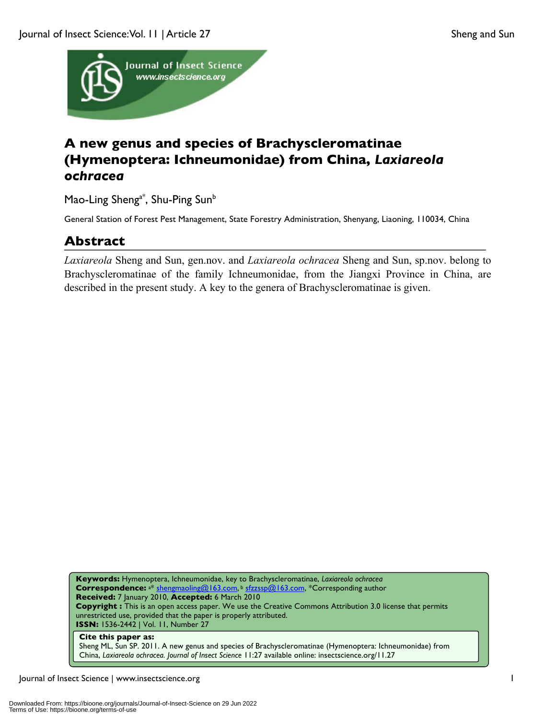

## **A new genus and species of Brachyscleromatinae (Hymenoptera: Ichneumonidae) from China,** *Laxiareola ochracea*

Mao-Ling Sheng<sup>a\*</sup>, Shu-Ping Sun<sup>b</sup>

General Station of Forest Pest Management, State Forestry Administration, Shenyang, Liaoning, 110034, China

### **Abstract**

*Laxiareola* Sheng and Sun, gen.nov. and *Laxiareola ochracea* Sheng and Sun, sp.nov. belong to Brachyscleromatinae of the family Ichneumonidae, from the Jiangxi Province in China, are described in the present study. A key to the genera of Brachyscleromatinae is given.

**Keywords:** Hymenoptera, Ichneumonidae, key to Brachyscleromatinae, *Laxiareola ochracea* **Correspondence:** a\* shengmaoling@163.com, <sup>b</sup> sfzzssp@163.com, \*Corresponding author **Received:** 7 January 2010, **Accepted:** 6 March 2010 **Copyright :** This is an open access paper. We use the Creative Commons Attribution 3.0 license that permits unrestricted use, provided that the paper is properly attributed. **ISSN:** 1536-2442 | Vol. 11, Number 27

#### **Cite this paper as:**

Sheng ML, Sun SP. 2011. A new genus and species of Brachyscleromatinae (Hymenoptera: Ichneumonidae) from China, *Laxiareola ochracea. Journal of Insect Science* 11:27 available online: insectscience.org/11.27

Journal of Insect Science | www.insectscience.org 1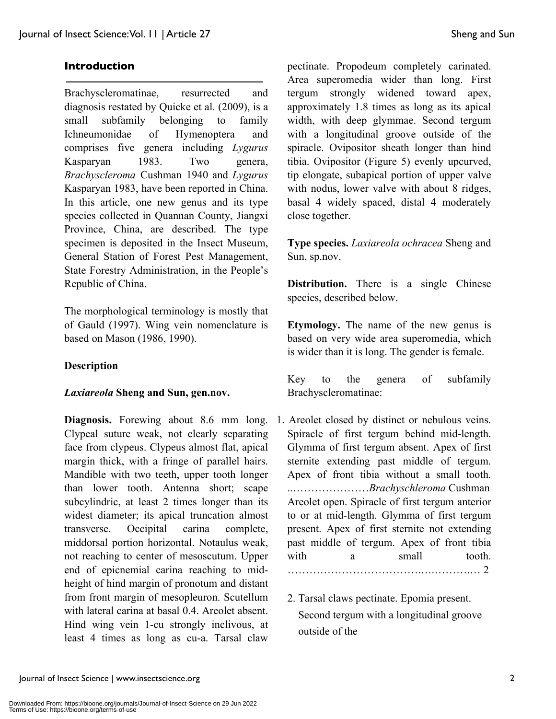#### **Introduction**

Brachyscleromatinae, resurrected and diagnosis restated by Quicke et al. (2009), is a small subfamily belonging to family Ichneumonidae of Hymenoptera and comprises five genera including *Lygurus* Kasparyan 1983. Two genera, *Brachyscleroma* Cushman 1940 and *Lygurus* Kasparyan 1983, have been reported in China. In this article, one new genus and its type species collected in Quannan County, Jiangxi Province, China, are described. The type specimen is deposited in the Insect Museum, General Station of Forest Pest Management, State Forestry Administration, in the People's Republic of China.

The morphological terminology is mostly that of Gauld (1997). Wing vein nomenclature is based on Mason (1986, 1990).

#### **Description**

#### *Laxiareola* **Sheng and Sun, gen.nov.**

**Diagnosis.** Forewing about 8.6 mm long. Clypeal suture weak, not clearly separating face from clypeus. Clypeus almost flat, apical margin thick, with a fringe of parallel hairs. Mandible with two teeth, upper tooth longer than lower tooth. Antenna short; scape subcylindric, at least 2 times longer than its widest diameter; its apical truncation almost transverse. Occipital carina complete, middorsal portion horizontal. Notaulus weak, not reaching to center of mesoscutum. Upper end of epicnemial carina reaching to midheight of hind margin of pronotum and distant from front margin of mesopleuron. Scutellum with lateral carina at basal 0.4. Areolet absent. Hind wing vein 1-cu strongly inclivous, at least 4 times as long as cu-a. Tarsal claw

pectinate. Propodeum completely carinated. Area superomedia wider than long. First tergum strongly widened toward apex, approximately 1.8 times as long as its apical width, with deep glymmae. Second tergum with a longitudinal groove outside of the spiracle. Ovipositor sheath longer than hind tibia. Ovipositor (Figure 5) evenly upcurved, tip elongate, subapical portion of upper valve with nodus, lower valve with about 8 ridges, basal 4 widely spaced, distal 4 moderately close together.

**Type species.** *Laxiareola ochracea* Sheng and Sun, sp.nov.

**Distribution.** There is a single Chinese species, described below.

**Etymology.** The name of the new genus is based on very wide area superomedia, which is wider than it is long. The gender is female.

Key to the genera of subfamily Brachyscleromatinae:

- 1. Areolet closed by distinct or nebulous veins. Spiracle of first tergum behind mid-length. Glymma of first tergum absent. Apex of first sternite extending past middle of tergum. Apex of front tibia without a small tooth. ..…………………*Brachyschleroma* Cushman Areolet open. Spiracle of first tergum anterior to or at mid-length. Glymma of first tergum present. Apex of first sternite not extending past middle of tergum. Apex of front tibia with a small tooth. ……………………………….….……….… 2
	- 2. Tarsal claws pectinate. Epomia present. Second tergum with a longitudinal groove outside of the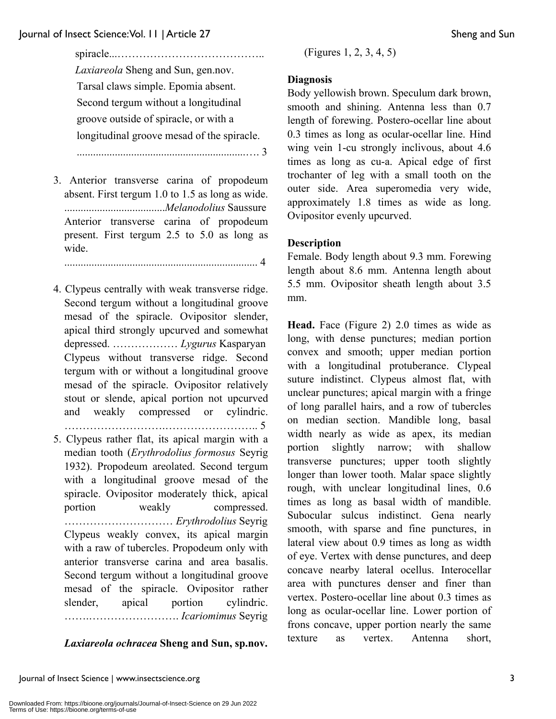spiracle...………………………………….. *Laxiareola* Sheng and Sun, gen.nov. Tarsal claws simple. Epomia absent. Second tergum without a longitudinal groove outside of spiracle, or with a longitudinal groove mesad of the spiracle.

..............................................................…. 3

3. Anterior transverse carina of propodeum absent. First tergum 1.0 to 1.5 as long as wide. .....................................*Melanodolius* Saussure Anterior transverse carina of propodeum present. First tergum 2.5 to 5.0 as long as wide.

....................................................................... 4

- 4. Clypeus centrally with weak transverse ridge. Second tergum without a longitudinal groove mesad of the spiracle. Ovipositor slender, apical third strongly upcurved and somewhat depressed. ……………… *Lygurus* Kasparyan Clypeus without transverse ridge. Second tergum with or without a longitudinal groove mesad of the spiracle. Ovipositor relatively stout or slende, apical portion not upcurved and weakly compressed or cylindric. ……………………….…………………….. 5
- 5. Clypeus rather flat, its apical margin with a median tooth (*Erythrodolius formosus* Seyrig 1932). Propodeum areolated. Second tergum with a longitudinal groove mesad of the spiracle. Ovipositor moderately thick, apical portion weakly compressed. ………………………… *Erythrodolius* Seyrig Clypeus weakly convex, its apical margin with a raw of tubercles. Propodeum only with anterior transverse carina and area basalis. Second tergum without a longitudinal groove mesad of the spiracle. Ovipositor rather slender, apical portion cylindric. …….……………………. *Icariomimus* Seyrig

#### *Laxiareola ochracea* **Sheng and Sun, sp.nov.**

(Figures 1, 2, 3, 4, 5)

#### **Diagnosis**

Body yellowish brown. Speculum dark brown, smooth and shining. Antenna less than 0.7 length of forewing. Postero-ocellar line about 0.3 times as long as ocular-ocellar line. Hind wing vein 1-cu strongly inclivous, about 4.6 times as long as cu-a. Apical edge of first trochanter of leg with a small tooth on the outer side. Area superomedia very wide, approximately 1.8 times as wide as long. Ovipositor evenly upcurved.

### **Description**

Female. Body length about 9.3 mm. Forewing length about 8.6 mm. Antenna length about 5.5 mm. Ovipositor sheath length about 3.5 mm.

**Head.** Face (Figure 2) 2.0 times as wide as long, with dense punctures; median portion convex and smooth; upper median portion with a longitudinal protuberance. Clypeal suture indistinct. Clypeus almost flat, with unclear punctures; apical margin with a fringe of long parallel hairs, and a row of tubercles on median section. Mandible long, basal width nearly as wide as apex, its median portion slightly narrow; with shallow transverse punctures; upper tooth slightly longer than lower tooth. Malar space slightly rough, with unclear longitudinal lines, 0.6 times as long as basal width of mandible. Subocular sulcus indistinct. Gena nearly smooth, with sparse and fine punctures, in lateral view about 0.9 times as long as width of eye. Vertex with dense punctures, and deep concave nearby lateral ocellus. Interocellar area with punctures denser and finer than vertex. Postero-ocellar line about 0.3 times as long as ocular-ocellar line. Lower portion of frons concave, upper portion nearly the same texture as vertex. Antenna short,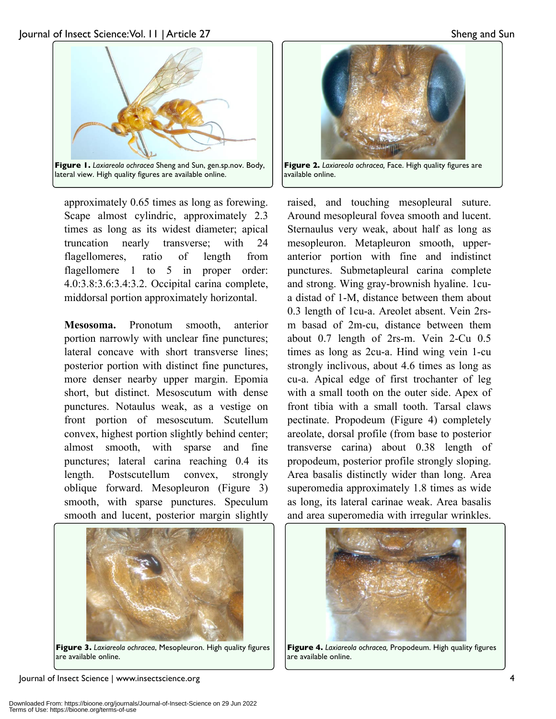

lateral view. High quality figures are available online.

approximately 0.65 times as long as forewing. Scape almost cylindric, approximately 2.3 times as long as its widest diameter; apical truncation nearly transverse; with 24 flagellomeres, ratio of length from flagellomere 1 to 5 in proper order: 4.0:3.8:3.6:3.4:3.2. Occipital carina complete, middorsal portion approximately horizontal.

**Mesosoma.** Pronotum smooth, anterior portion narrowly with unclear fine punctures; lateral concave with short transverse lines; posterior portion with distinct fine punctures, more denser nearby upper margin. Epomia short, but distinct. Mesoscutum with dense punctures. Notaulus weak, as a vestige on front portion of mesoscutum. Scutellum convex, highest portion slightly behind center; almost smooth, with sparse and fine punctures; lateral carina reaching 0.4 its length. Postscutellum convex, strongly oblique forward. Mesopleuron (Figure 3) smooth, with sparse punctures. Speculum smooth and lucent, posterior margin slightly



**Figure 3.** *Laxiareola ochracea*, Mesopleuron. High quality figures are available online.

Journal of Insect Science | www.insectscience.org 4



**Figure 2.** *Laxiareola ochracea,* Face. High quality figures are available online.

raised, and touching mesopleural suture. Around mesopleural fovea smooth and lucent. Sternaulus very weak, about half as long as mesopleuron. Metapleuron smooth, upperanterior portion with fine and indistinct punctures. Submetapleural carina complete and strong. Wing gray-brownish hyaline. 1cua distad of 1-M, distance between them about 0.3 length of 1cu-a. Areolet absent. Vein 2rsm basad of 2m-cu, distance between them about 0.7 length of 2rs-m. Vein 2-Cu 0.5 times as long as 2cu-a. Hind wing vein 1-cu strongly inclivous, about 4.6 times as long as cu-a. Apical edge of first trochanter of leg with a small tooth on the outer side. Apex of front tibia with a small tooth. Tarsal claws pectinate. Propodeum (Figure 4) completely areolate, dorsal profile (from base to posterior transverse carina) about 0.38 length of propodeum, posterior profile strongly sloping. Area basalis distinctly wider than long. Area superomedia approximately 1.8 times as wide as long, its lateral carinae weak. Area basalis and area superomedia with irregular wrinkles.



**Figure 4.** *Laxiareola ochracea,* Propodeum. High quality figures are available online.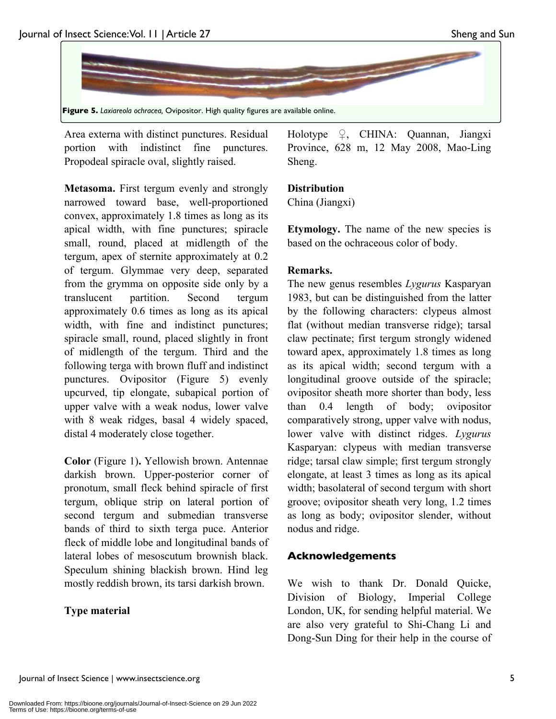

Area externa with distinct punctures. Residual portion with indistinct fine punctures. Propodeal spiracle oval, slightly raised.

**Metasoma.** First tergum evenly and strongly narrowed toward base, well-proportioned convex, approximately 1.8 times as long as its apical width, with fine punctures; spiracle small, round, placed at midlength of the tergum, apex of sternite approximately at 0.2 of tergum. Glymmae very deep, separated from the grymma on opposite side only by a translucent partition. Second tergum approximately 0.6 times as long as its apical width, with fine and indistinct punctures; spiracle small, round, placed slightly in front of midlength of the tergum. Third and the following terga with brown fluff and indistinct punctures. Ovipositor (Figure 5) evenly upcurved, tip elongate, subapical portion of upper valve with a weak nodus, lower valve with 8 weak ridges, basal 4 widely spaced, distal 4 moderately close together.

**Color** (Figure 1)**.** Yellowish brown. Antennae darkish brown. Upper-posterior corner of pronotum, small fleck behind spiracle of first tergum, oblique strip on lateral portion of second tergum and submedian transverse bands of third to sixth terga puce. Anterior fleck of middle lobe and longitudinal bands of lateral lobes of mesoscutum brownish black. Speculum shining blackish brown. Hind leg mostly reddish brown, its tarsi darkish brown.

### **Type material**

Holotype  $\varphi$ , CHINA: Quannan, Jiangxi Province, 628 m, 12 May 2008, Mao-Ling Sheng.

#### **Distribution**

China (Jiangxi)

**Etymology.** The name of the new species is based on the ochraceous color of body.

#### **Remarks.**

The new genus resembles *Lygurus* Kasparyan 1983, but can be distinguished from the latter by the following characters: clypeus almost flat (without median transverse ridge); tarsal claw pectinate; first tergum strongly widened toward apex, approximately 1.8 times as long as its apical width; second tergum with a longitudinal groove outside of the spiracle; ovipositor sheath more shorter than body, less than 0.4 length of body; ovipositor comparatively strong, upper valve with nodus, lower valve with distinct ridges. *Lygurus* Kasparyan: clypeus with median transverse ridge; tarsal claw simple; first tergum strongly elongate, at least 3 times as long as its apical width; basolateral of second tergum with short groove; ovipositor sheath very long, 1.2 times as long as body; ovipositor slender, without nodus and ridge.

### **Acknowledgements**

We wish to thank Dr. Donald Quicke, Division of Biology, Imperial College London, UK, for sending helpful material. We are also very grateful to Shi-Chang Li and Dong-Sun Ding for their help in the course of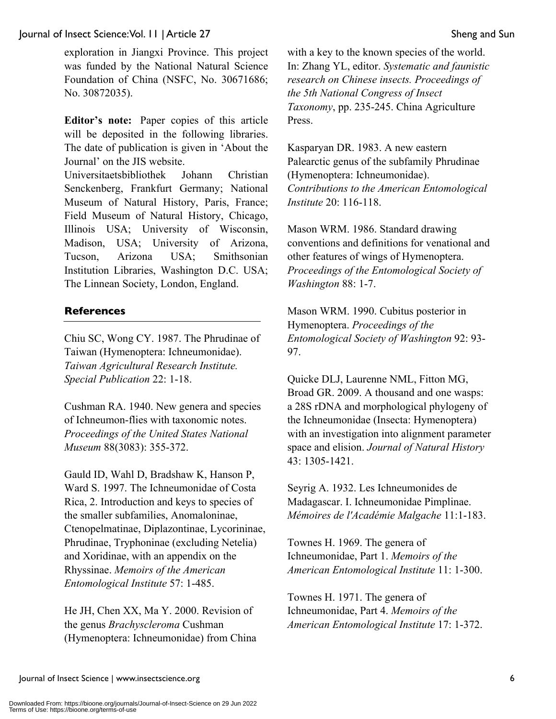#### Journal of Insect Science: Vol. 11 | Article 27 Sheng and Sun

exploration in Jiangxi Province. This project was funded by the National Natural Science Foundation of China (NSFC, No. 30671686; No. 30872035).

**Editor's note:** Paper copies of this article will be deposited in the following libraries. The date of publication is given in 'About the Journal' on the JIS website.

Universitaetsbibliothek Johann Christian Senckenberg, Frankfurt Germany; National Museum of Natural History, Paris, France; Field Museum of Natural History, Chicago, Illinois USA; University of Wisconsin, Madison, USA; University of Arizona, Tucson, Arizona USA; Smithsonian Institution Libraries, Washington D.C. USA; The Linnean Society, London, England.

#### **References**

Chiu SC, Wong CY. 1987. The Phrudinae of Taiwan (Hymenoptera: Ichneumonidae). *Taiwan Agricultural Research Institute. Special Publication* 22: 1-18.

Cushman RA. 1940. New genera and species of Ichneumon-flies with taxonomic notes. *Proceedings of the United States National Museum* 88(3083): 355-372.

Gauld ID, Wahl D, Bradshaw K, Hanson P, Ward S. 1997. The Ichneumonidae of Costa Rica, 2. Introduction and keys to species of the smaller subfamilies, Anomaloninae, Ctenopelmatinae, Diplazontinae, Lycorininae, Phrudinae, Tryphoninae (excluding Netelia) and Xoridinae, with an appendix on the Rhyssinae. *Memoirs of the American Entomological Institute* 57: 1-485.

He JH, Chen XX, Ma Y. 2000. Revision of the genus *Brachyscleroma* Cushman (Hymenoptera: Ichneumonidae) from China with a key to the known species of the world. In: Zhang YL, editor. *Systematic and faunistic research on Chinese insects. Proceedings of the 5th National Congress of Insect Taxonomy*, pp. 235-245. China Agriculture Press.

Kasparyan DR. 1983. A new eastern Palearctic genus of the subfamily Phrudinae (Hymenoptera: Ichneumonidae). *Contributions to the American Entomological Institute* 20: 116-118.

Mason WRM. 1986. Standard drawing conventions and definitions for venational and other features of wings of Hymenoptera. *Proceedings of the Entomological Society of Washington* 88: 1-7.

Mason WRM. 1990. Cubitus posterior in Hymenoptera. *Proceedings of the Entomological Society of Washington* 92: 93- 97.

Quicke DLJ, Laurenne NML, Fitton MG, Broad GR. 2009. A thousand and one wasps: a 28S rDNA and morphological phylogeny of the Ichneumonidae (Insecta: Hymenoptera) with an investigation into alignment parameter space and elision. *Journal of Natural History* 43: 1305-1421.

Seyrig A. 1932. Les Ichneumonides de Madagascar. I. Ichneumonidae Pimplinae. *Mémoires de l'Académie Malgache* 11:1-183.

Townes H. 1969. The genera of Ichneumonidae, Part 1. *Memoirs of the American Entomological Institute* 11: 1-300.

Townes H. 1971. The genera of Ichneumonidae, Part 4. *Memoirs of the American Entomological Institute* 17: 1-372.